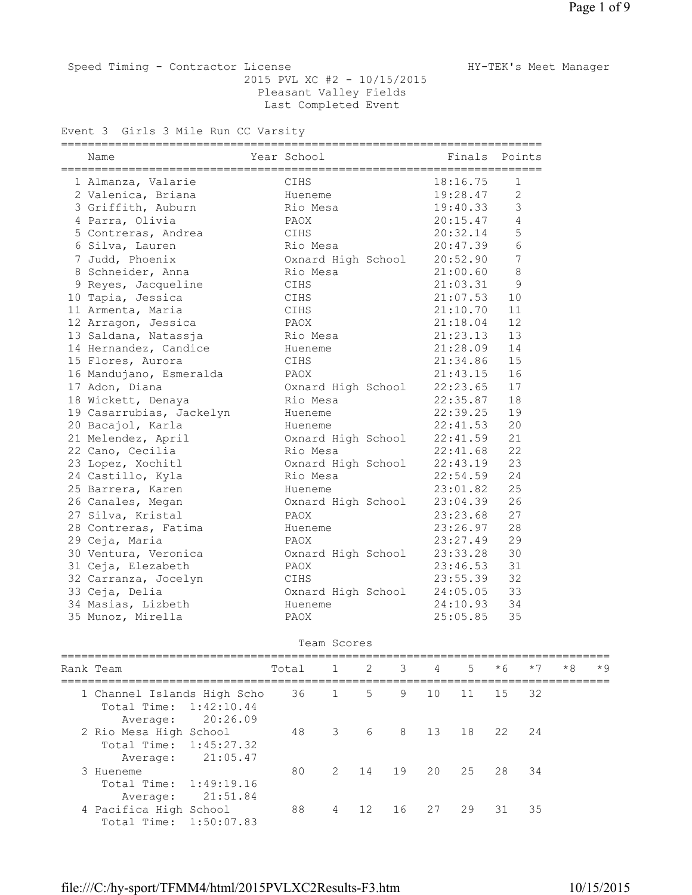Speed Timing - Contractor License Manager HY-TEK's Meet Manager 2015 PVL XC #2 - 10/15/2015 Pleasant Valley Fields Last Completed Event

Event 3 Girls 3 Mile Run CC Varsity

| ========<br>Name<br>===================================== | Year School                 | ------------------------------<br>================================ | Finals Points  |
|-----------------------------------------------------------|-----------------------------|--------------------------------------------------------------------|----------------|
| 1 Almanza, Valarie                                        | CIHS                        | 18:16.75                                                           | 1              |
| 2 Valenica, Briana                                        | Hueneme                     | 19:28.47                                                           | $\overline{2}$ |
| 3 Griffith, Auburn                                        | Rio Mesa                    | 19:40.33                                                           | 3              |
| 4 Parra, Olivia                                           | PAOX                        | 20:15.47                                                           | $\overline{4}$ |
| 5 Contreras, Andrea                                       | CIHS                        | 20:32.14                                                           | 5              |
| 6 Silva, Lauren                                           | Rio Mesa                    | 20:47.39                                                           | 6              |
| 7 Judd, Phoenix                                           | Oxnard High School 20:52.90 |                                                                    | 7              |
| 8 Schneider, Anna                                         | Rio Mesa                    | 21:00.60                                                           | 8              |
| 9 Reyes, Jacqueline                                       | CIHS                        | 21:03.31                                                           | 9              |
| 10 Tapia, Jessica                                         | CIHS                        | 21:07.53                                                           | 10             |
| 11 Armenta, Maria                                         | CIHS                        | 21:10.70                                                           | 11             |
| 12 Arragon, Jessica                                       | PAOX                        | 21:18.04                                                           | 12             |
| 13 Saldana, Natassja                                      | Rio Mesa                    | 21:23.13                                                           | 13             |
| 14 Hernandez, Candice                                     | Hueneme                     | 21:28.09                                                           | 14             |
| 15 Flores, Aurora                                         | CIHS                        | 21:34.86                                                           | 15             |
| 16 Mandujano, Esmeralda                                   | PAOX                        | 21:43.15                                                           | 16             |
| 17 Adon, Diana                                            | Oxnard High School          | 22:23.65                                                           | 17             |
| 18 Wickett, Denaya                                        | Rio Mesa                    | 22:35.87                                                           | 18             |
| 19 Casarrubias, Jackelyn                                  | Hueneme                     | 22:39.25                                                           | 19             |
| 20 Bacajol, Karla                                         | Hueneme                     | 22:41.53                                                           | 20             |
| 21 Melendez, April                                        | Oxnard High School          | 22:41.59                                                           | 21             |
| 22 Cano, Cecilia                                          | Rio Mesa                    | 22:41.68                                                           | 22             |
| 23 Lopez, Xochitl                                         | Oxnard High School          | 22:43.19                                                           | 23             |
| 24 Castillo, Kyla                                         | Rio Mesa                    | 22:54.59                                                           | 24             |
| 25 Barrera, Karen                                         | Hueneme                     | 23:01.82                                                           | 25             |
| 26 Canales, Megan                                         | Oxnard High School          | 23:04.39                                                           | 26             |
| 27 Silva, Kristal                                         | PAOX                        | 23:23.68                                                           | 27             |
| 28 Contreras, Fatima                                      | Hueneme                     | 23:26.97                                                           | 28             |
| 29 Ceja, Maria                                            | PAOX                        | 23:27.49                                                           | 29             |
| 30 Ventura, Veronica                                      | Oxnard High School          | 23:33.28                                                           | 30             |
| 31 Ceja, Elezabeth                                        | PAOX                        | 23:46.53                                                           | 31             |
| 32 Carranza, Jocelyn                                      | CIHS                        | 23:55.39                                                           | 32             |
| 33 Ceja, Delia                                            | Oxnard High School          | 24:05.05                                                           | 33             |
| 34 Masias, Lizbeth                                        | Hueneme                     | 24:10.93                                                           | 34             |
| 35 Munoz, Mirella                                         | PAOX                        | 25:05.85                                                           | 35             |

Team Scores

| Rank Team                                                                     | Total 1 2 3 |                          |       |        | $4\overline{4}$ | $5 -$ | $*6$     | $*7$ | $*8$ | $*9$ |
|-------------------------------------------------------------------------------|-------------|--------------------------|-------|--------|-----------------|-------|----------|------|------|------|
| 1 Channel Islands High Scho<br>Total Time: 1:42:10.44<br>20:26.09<br>Average: | 36          |                          | $5 -$ | 9      | 10              | 11    | 15       | -32  |      |      |
| 2 Rio Mesa High School<br>Total Time: 1:45:27.32<br>21:05.47<br>Average:      | 48          | $\overline{\phantom{a}}$ |       | 6 8 13 |                 |       | 18 22 24 |      |      |      |
| 3 Hueneme<br>Total Time: 1:49:19.16<br>21:51.84<br>Average:                   | 80          |                          | 2 14  | 19     | 20              | 2.5   | 28 34    |      |      |      |
| 4 Pacifica High School<br>Total Time: 1:50:07.83                              | 88          | $\overline{4}$           | 12    | 16     | 27              | 29    | .31      | -35  |      |      |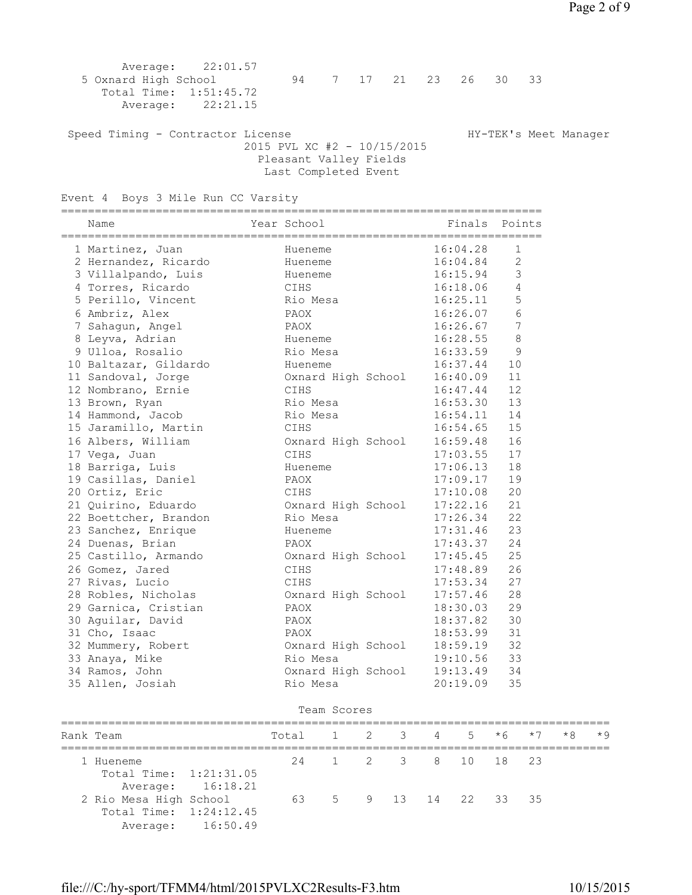2015 PVL XC #2 - 10/15/2015 Pleasant Valley Fields Last Completed Event

Event 4 Boys 3 Mile Run CC Varsity

| =============<br>Name | Year School        | Finals Points        |                 |
|-----------------------|--------------------|----------------------|-----------------|
| 1 Martinez, Juan      | Hueneme            | 16:04.28             | $\mathbf{1}$    |
| 2 Hernandez, Ricardo  | Hueneme            | 16:04.84             | $\mathbf{2}$    |
| 3 Villalpando, Luis   | Hueneme            | 16:15.94             | 3               |
| 4 Torres, Ricardo     | CIHS               | 16:18.06             | 4               |
| 5 Perillo, Vincent    | Rio Mesa           | 16:25.11             | 5               |
| 6 Ambriz, Alex        | PAOX               | 16:26.07             | $6\phantom{.}6$ |
| 7 Sahagun, Angel      | PAOX               | 16:26.67             | $\overline{7}$  |
| 8 Leyva, Adrian       | Hueneme            | 16:28.55             | 8               |
| 9 Ulloa, Rosalio      | Rio Mesa           | 16:33.59             | 9               |
| 10 Baltazar, Gildardo | Hueneme            | 16:37.44             | 10              |
| 11 Sandoval, Jorge    | Oxnard High School | 16:40.09             | 11              |
| 12 Nombrano, Ernie    | CIHS               | 16:47.44             | 12              |
| 13 Brown, Ryan        | Rio Mesa           | 16:53.30<br>16:54.11 | 13              |
| 14 Hammond, Jacob     | Rio Mesa           |                      | 14              |
| 15 Jaramillo, Martin  | CIHS               | 16:54.65             | 15              |
| 16 Albers, William    | Oxnard High School | 16:59.48             | 16              |
| 17 Vega, Juan         | CIHS               | 17:03.55             | 17              |
| 18 Barriga, Luis      | Hueneme            | 17:06.13             | 18              |
| 19 Casillas, Daniel   | PAOX               | 17:09.17             | 19              |
| 20 Ortiz, Eric        | CIHS               | 17:10.08             | 20              |
| 21 Quirino, Eduardo   | Oxnard High School | 17:22.16             | 21              |
| 22 Boettcher, Brandon | Rio Mesa           | 17:26.34             | 22              |
| 23 Sanchez, Enrique   | Hueneme            | 17:31.46             | 23              |
| 24 Duenas, Brian      | PAOX               | 17:43.37             | 24              |
| 25 Castillo, Armando  | Oxnard High School | 17:45.45             | 25              |
| 26 Gomez, Jared       | CIHS               | 17:48.89             | 26              |
| 27 Rivas, Lucio       | CIHS               | 17:53.34             | 27              |
| 28 Robles, Nicholas   | Oxnard High School | 17:57.46             | 28              |
| 29 Garnica, Cristian  | PAOX               | 18:30.03             | 29              |
| 30 Aguilar, David     | PAOX               | 18:37.82             | 30              |
| 31 Cho, Isaac         | PAOX               | 18:53.99             | 31              |
| 32 Mummery, Robert    | Oxnard High School | 18:59.19             | 32              |
| 33 Anaya, Mike        | Rio Mesa           | 19:10.56             | 33              |
| 34 Ramos, John        | Oxnard High School | 19:13.49             | 34              |
| 35 Allen, Josiah      | Rio Mesa           | 20:19.09             | 35              |
|                       |                    |                      |                 |

| Team Scores                                      |                   |                           |  |  |                     |  |  |  |  |           |  |
|--------------------------------------------------|-------------------|---------------------------|--|--|---------------------|--|--|--|--|-----------|--|
| Rank Team                                        |                   | Total 1 2 3 4 5 $*6$ $*7$ |  |  |                     |  |  |  |  | $*8$ $*9$ |  |
| 1 Hueneme<br>Total Time: 1:21:31.05              |                   |                           |  |  | 24 1 2 3 8 10 18 23 |  |  |  |  |           |  |
| 2 Rio Mesa High School<br>Total Time: 1:24:12.45 | Average: 16:18.21 | 63 5 9 13 14 22 33 35     |  |  |                     |  |  |  |  |           |  |
|                                                  | Average: 16:50.49 |                           |  |  |                     |  |  |  |  |           |  |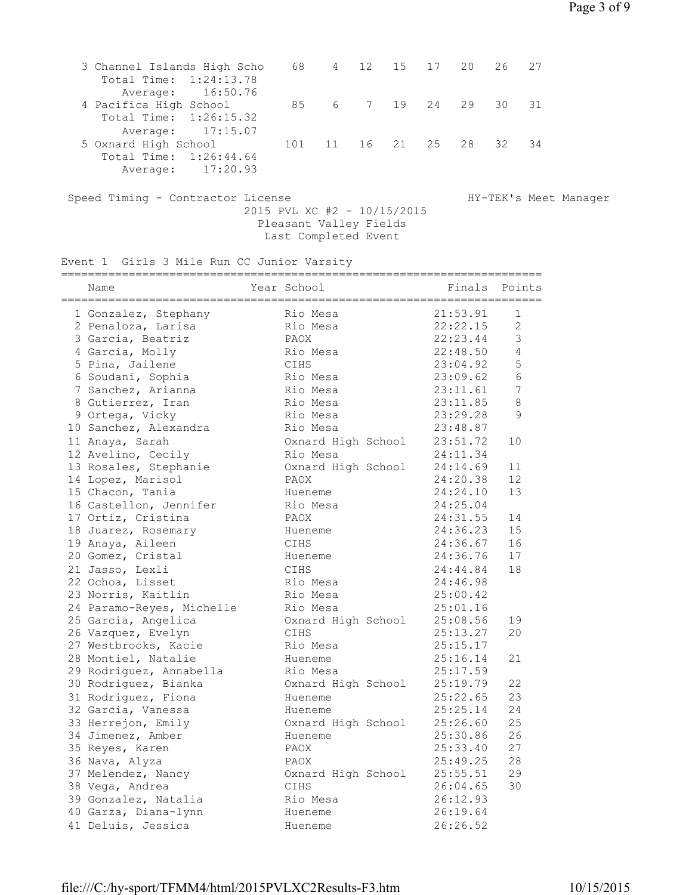| 3 Channel Islands High Scho |     | 68 4 12 15 17 20      |  |       | 26 27 |  |
|-----------------------------|-----|-----------------------|--|-------|-------|--|
| Total Time: 1:24:13.78      |     |                       |  |       |       |  |
| Average: 16:50.76           |     |                       |  |       |       |  |
| 4 Pacifica High School      |     | 85 6 7 19 24 29 30 31 |  |       |       |  |
| Total Time: 1:26:15.32      |     |                       |  |       |       |  |
| Average: 17:15.07           |     |                       |  |       |       |  |
| 5 Oxnard High School        | 101 | 11 16 21              |  | 25 28 | 32 34 |  |
| Total Time: 1:26:44.64      |     |                       |  |       |       |  |
| Average: 17:20.93           |     |                       |  |       |       |  |
|                             |     |                       |  |       |       |  |

Speed Timing - Contractor License Manager HY-TEK's Meet Manager 2015 PVL XC #2 - 10/15/2015 Pleasant Valley Fields Last Completed Event

Event 1 Girls 3 Mile Run CC Junior Varsity

| Name                      | Year School        | :=====================<br>Finals | Points         |
|---------------------------|--------------------|----------------------------------|----------------|
| 1 Gonzalez, Stephany      | Rio Mesa           | 21:53.91                         | 1              |
| 2 Penaloza, Larisa        | Rio Mesa           | 22:22.15                         | $\overline{c}$ |
| 3 Garcia, Beatriz         | PAOX               | 22:23.44                         | 3              |
| 4 Garcia, Molly           | Rio Mesa           | 22:48.50                         | $\overline{4}$ |
| 5 Pina, Jailene           | CIHS               | 23:04.92                         | 5              |
| 6 Soudani, Sophia         | Rio Mesa           | 23:09.62                         | 6              |
| 7 Sanchez, Arianna        | Rio Mesa           | 23:11.61                         | 7              |
| 8 Gutierrez, Iran         | Rio Mesa           | 23:11.85                         | 8              |
| 9 Ortega, Vicky           | Rio Mesa           | 23:29.28                         | 9              |
| 10 Sanchez, Alexandra     | Rio Mesa           | 23:48.87                         |                |
| 11 Anaya, Sarah           | Oxnard High School | 23:51.72                         | 10             |
| 12 Avelino, Cecily        | Rio Mesa           | 24:11.34                         |                |
| 13 Rosales, Stephanie     | Oxnard High School | 24:14.69                         | 11             |
| 14 Lopez, Marisol         | PAOX               | 24:20.38                         | 12             |
| 15 Chacon, Tania          | Hueneme            | 24:24.10                         | 13             |
| 16 Castellon, Jennifer    | Rio Mesa           | 24:25.04                         |                |
| 17 Ortiz, Cristina        | PAOX               | 24:31.55                         | 14             |
| 18 Juarez, Rosemary       | Hueneme            | 24:36.23                         | 15             |
| 19 Anaya, Aileen          | CIHS               | 24:36.67                         | 16             |
| 20 Gomez, Cristal         | Hueneme            | 24:36.76                         | 17             |
| 21 Jasso, Lexli           | CIHS               | 24:44.84                         | 18             |
| 22 Ochoa, Lisset          | Rio Mesa           | 24:46.98                         |                |
| 23 Norris, Kaitlin        | Rio Mesa           | 25:00.42                         |                |
| 24 Paramo-Reyes, Michelle | Rio Mesa           | 25:01.16                         |                |
| 25 Garcia, Angelica       | Oxnard High School | 25:08.56                         | 19             |
| 26 Vazquez, Evelyn        | CIHS               | 25:13.27                         | 20             |
| 27 Westbrooks, Kacie      | Rio Mesa           | 25:15.17                         |                |
| 28 Montiel, Natalie       | Hueneme            | 25:16.14                         | 21             |
| 29 Rodriguez, Annabella   | Rio Mesa           | 25:17.59                         |                |
| 30 Rodriguez, Bianka      | Oxnard High School | 25:19.79                         | 22             |
| 31 Rodriguez, Fiona       | Hueneme            | 25:22.65                         | 23             |
| 32 Garcia, Vanessa        | Hueneme            | 25:25.14                         | 24             |
| 33 Herrejon, Emily        | Oxnard High School | 25:26.60                         | 25             |
| 34 Jimenez, Amber         | Hueneme            | 25:30.86                         | 26             |
| 35 Reyes, Karen           | PAOX               | 25:33.40                         | 27             |
| 36 Nava, Alyza            | PAOX               | 25:49.25                         | 28             |
| 37 Melendez, Nancy        | Oxnard High School | 25:55.51                         | 29             |
| 38 Vega, Andrea           | CIHS               | 26:04.65                         | 30             |
| 39 Gonzalez, Natalia      | Rio Mesa           | 26:12.93                         |                |
| 40 Garza, Diana-lynn      | Hueneme            | 26:19.64                         |                |
| 41 Deluis, Jessica        | Hueneme            | 26:26.52                         |                |
|                           |                    |                                  |                |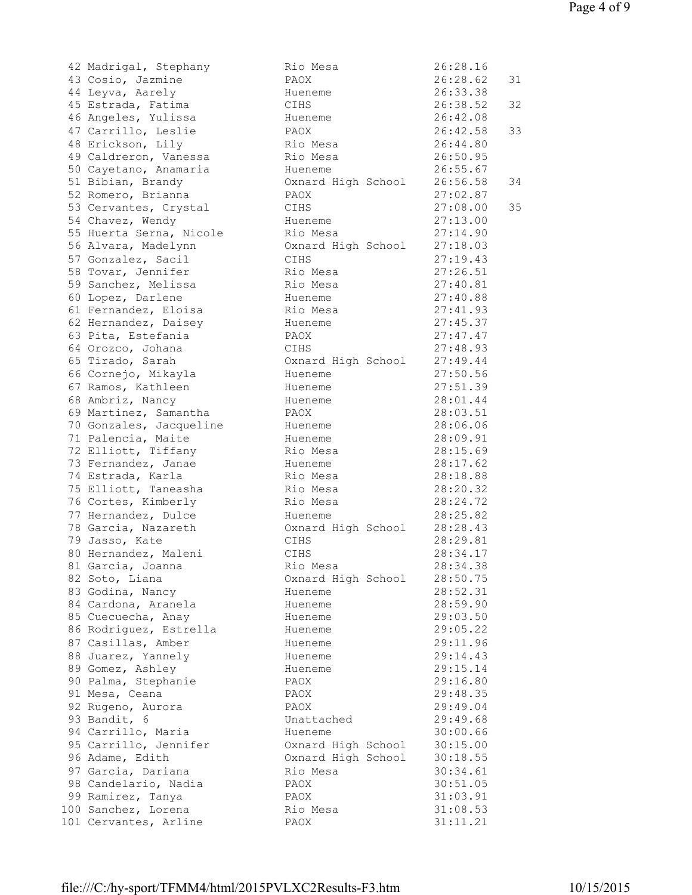| 42 Madrigal, Stephany   | Rio Mesa           | 26:28.16 |    |
|-------------------------|--------------------|----------|----|
| 43 Cosio, Jazmine       | PAOX               | 26:28.62 | 31 |
|                         | Hueneme            | 26:33.38 |    |
| 44 Leyva, Aarely        |                    |          |    |
| 45 Estrada, Fatima      | CIHS               | 26:38.52 | 32 |
| 46 Angeles, Yulissa     | Hueneme            | 26:42.08 |    |
| 47 Carrillo, Leslie     | PAOX               | 26:42.58 | 33 |
| 48 Erickson, Lily       | Rio Mesa           | 26:44.80 |    |
| 49 Caldreron, Vanessa   | Rio Mesa           | 26:50.95 |    |
| 50 Cayetano, Anamaria   | Hueneme            | 26:55.67 |    |
| 51 Bibian, Brandy       |                    | 26:56.58 | 34 |
|                         | Oxnard High School |          |    |
| 52 Romero, Brianna      | PAOX               | 27:02.87 |    |
| 53 Cervantes, Crystal   | CIHS               | 27:08.00 | 35 |
| 54 Chavez, Wendy        | Hueneme            | 27:13.00 |    |
| 55 Huerta Serna, Nicole | Rio Mesa           | 27:14.90 |    |
| 56 Alvara, Madelynn     | Oxnard High School | 27:18.03 |    |
| 57 Gonzalez, Sacil      | CIHS               | 27:19.43 |    |
| 58 Tovar, Jennifer      | Rio Mesa           | 27:26.51 |    |
|                         |                    |          |    |
| 59 Sanchez, Melissa     | Rio Mesa           | 27:40.81 |    |
| 60 Lopez, Darlene       | Hueneme            | 27:40.88 |    |
| 61 Fernandez, Eloisa    | Rio Mesa           | 27:41.93 |    |
| 62 Hernandez, Daisey    | Hueneme            | 27:45.37 |    |
| 63 Pita, Estefania      | PAOX               | 27:47.47 |    |
| 64 Orozco, Johana       | CIHS               | 27:48.93 |    |
| 65 Tirado, Sarah        | Oxnard High School | 27:49.44 |    |
| 66 Cornejo, Mikayla     | Hueneme            | 27:50.56 |    |
| 67 Ramos, Kathleen      |                    | 27:51.39 |    |
|                         | Hueneme            |          |    |
| 68 Ambriz, Nancy        | Hueneme            | 28:01.44 |    |
| 69 Martinez, Samantha   | PAOX               | 28:03.51 |    |
| 70 Gonzales, Jacqueline | Hueneme            | 28:06.06 |    |
| 71 Palencia, Maite      | Hueneme            | 28:09.91 |    |
| 72 Elliott, Tiffany     | Rio Mesa           | 28:15.69 |    |
| 73 Fernandez, Janae     | Hueneme            | 28:17.62 |    |
| 74 Estrada, Karla       | Rio Mesa           | 28:18.88 |    |
| 75 Elliott, Taneasha    | Rio Mesa           | 28:20.32 |    |
| 76 Cortes, Kimberly     | Rio Mesa           | 28:24.72 |    |
| 77 Hernandez, Dulce     | Hueneme            | 28:25.82 |    |
|                         |                    |          |    |
| 78 Garcia, Nazareth     | Oxnard High School | 28:28.43 |    |
| 79 Jasso, Kate          | CIHS               | 28:29.81 |    |
| 80 Hernandez, Maleni    | CIHS               | 28:34.17 |    |
| 81 Garcia, Joanna       | Rio Mesa           | 28:34.38 |    |
| 82 Soto, Liana          | Oxnard High School | 28:50.75 |    |
| 83 Godina, Nancy        | Hueneme            | 28:52.31 |    |
| 84 Cardona, Aranela     | Hueneme            | 28:59.90 |    |
| 85 Cuecuecha, Anay      | Hueneme            | 29:03.50 |    |
| 86 Rodriguez, Estrella  | Hueneme            | 29:05.22 |    |
| 87 Casillas, Amber      | Hueneme            | 29:11.96 |    |
|                         |                    |          |    |
| 88 Juarez, Yannely      | Hueneme            | 29:14.43 |    |
| 89 Gomez, Ashley        | Hueneme            | 29:15.14 |    |
| 90 Palma, Stephanie     | PAOX               | 29:16.80 |    |
| 91 Mesa, Ceana          | PAOX               | 29:48.35 |    |
| 92 Rugeno, Aurora       | PAOX               | 29:49.04 |    |
| 93 Bandit, 6            | Unattached         | 29:49.68 |    |
| 94 Carrillo, Maria      | Hueneme            | 30:00.66 |    |
| 95 Carrillo, Jennifer   | Oxnard High School | 30:15.00 |    |
| 96 Adame, Edith         | Oxnard High School | 30:18.55 |    |
|                         | Rio Mesa           | 30:34.61 |    |
| 97 Garcia, Dariana      |                    |          |    |
| 98 Candelario, Nadia    | PAOX               | 30:51.05 |    |
| 99 Ramirez, Tanya       | PAOX               | 31:03.91 |    |
| .00 Sanchez, Lorena     | Rio Mesa           | 31:08.53 |    |
| .01 Cervantes, Arline   | PAOX               | 31:11.21 |    |
|                         |                    |          |    |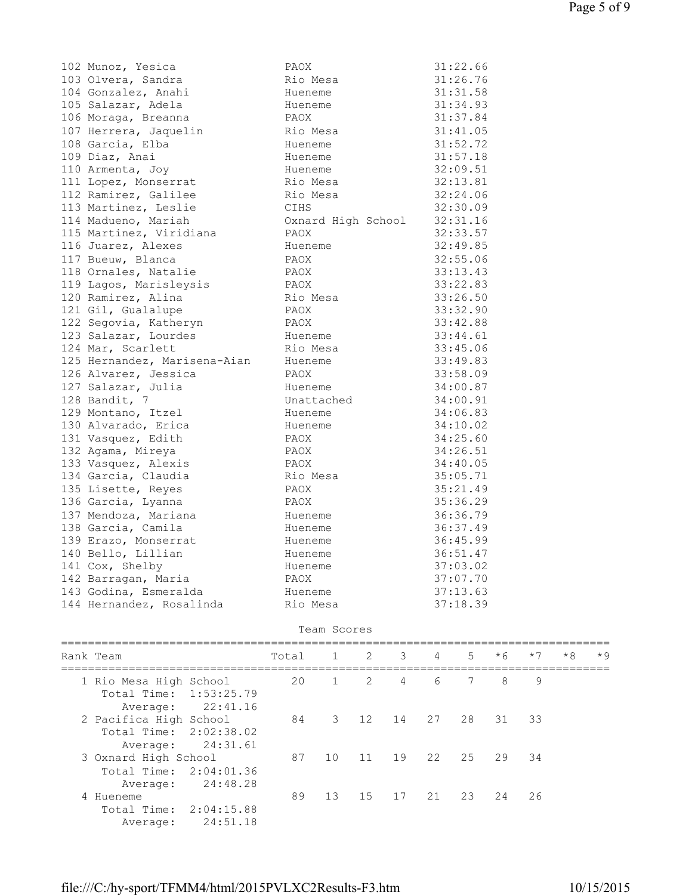| 102 Munoz, Yesica            | PAOX               | 31:22.66 |
|------------------------------|--------------------|----------|
| 103 Olvera, Sandra           | Rio Mesa           | 31:26.76 |
| 104 Gonzalez, Anahi          | Hueneme            | 31:31.58 |
| 105 Salazar, Adela           | Hueneme            | 31:34.93 |
| 106 Moraga, Breanna          | PAOX               | 31:37.84 |
| 107 Herrera, Jaquelin        | Rio Mesa           | 31:41.05 |
| 108 Garcia, Elba             | Hueneme            | 31:52.72 |
| 109 Diaz, Anai               | Hueneme            | 31:57.18 |
| 110 Armenta, Joy             | Hueneme            | 32:09.51 |
| 111 Lopez, Monserrat         | Rio Mesa           | 32:13.81 |
| 112 Ramirez, Galilee         | Rio Mesa           | 32:24.06 |
| 113 Martinez, Leslie         | CIHS               | 32:30.09 |
| 114 Madueno, Mariah          | Oxnard High School | 32:31.16 |
| 115 Martinez, Viridiana      | PAOX               | 32:33.57 |
| 116 Juarez, Alexes           | Hueneme            | 32:49.85 |
| 117 Bueuw, Blanca            | PAOX               | 32:55.06 |
| 118 Ornales, Natalie         | PAOX               | 33:13.43 |
| 119 Lagos, Marisleysis       | PAOX               | 33:22.83 |
| 120 Ramirez, Alina           | Rio Mesa           | 33:26.50 |
| 121 Gil, Gualalupe           | PAOX               | 33:32.90 |
| 122 Segovia, Katheryn        | PAOX               | 33:42.88 |
| 123 Salazar, Lourdes         | Hueneme            | 33:44.61 |
| 124 Mar, Scarlett            | Rio Mesa           | 33:45.06 |
| 125 Hernandez, Marisena-Aian | Hueneme            | 33:49.83 |
| 126 Alvarez, Jessica         | PAOX               | 33:58.09 |
| 127 Salazar, Julia           | Hueneme            | 34:00.87 |
| 128 Bandit, 7                | Unattached         | 34:00.91 |
| 129 Montano, Itzel           | Hueneme            | 34:06.83 |
| 130 Alvarado, Erica          | Hueneme            | 34:10.02 |
| 131 Vasquez, Edith           | PAOX               | 34:25.60 |
| 132 Agama, Mireya            | PAOX               | 34:26.51 |
| 133 Vasquez, Alexis          | PAOX               | 34:40.05 |
| 134 Garcia, Claudia          | Rio Mesa           | 35:05.71 |
| 135 Lisette, Reyes           | PAOX               | 35:21.49 |
| 136 Garcia, Lyanna           | PAOX               | 35:36.29 |
| 137 Mendoza, Mariana         | Hueneme            | 36:36.79 |
| 138 Garcia, Camila           | Hueneme            | 36:37.49 |
| 139 Erazo, Monserrat         | Hueneme            | 36:45.99 |
| 140 Bello, Lillian           | Hueneme            | 36:51.47 |
| 141 Cox, Shelby              | Hueneme            | 37:03.02 |
| 142 Barragan, Maria          | PAOX               | 37:07.70 |
| 143 Godina, Esmeralda        | Hueneme            | 37:13.63 |
| 144 Hernandez, Rosalinda     | Rio Mesa           | 37:18.39 |

## Team Scores

| Rank Team                                                                | Total |                | 1 2 3          |                | $\overline{4}$ | $5 -$ | $*6$        | $*7$ | $*8$ | $*9$ |
|--------------------------------------------------------------------------|-------|----------------|----------------|----------------|----------------|-------|-------------|------|------|------|
| 1 Rio Mesa High School<br>Total Time: 1:53:25.79<br>22:41.16<br>Average: | 20    | $\overline{1}$ | $\overline{2}$ | $\overline{4}$ | 6              | 7     | 8           | 9    |      |      |
| 2 Pacifica High School<br>Total Time: 2:02:38.02<br>24:31.61<br>Average: | 84    | 3              |                | 12 14          |                |       | 27 28 31 33 |      |      |      |
| 3 Oxnard High School<br>Total Time: 2:04:01.36<br>24:48.28<br>Average:   | 87    | 1 O            |                | 11 19 22       |                | 25    | 29          | 34   |      |      |
| 4 Hueneme<br>Total Time: 2:04:15.88<br>24:51.18<br>Average:              | 89    | 13             | 15             | 17 21          |                | 23    | 2.4         | 26   |      |      |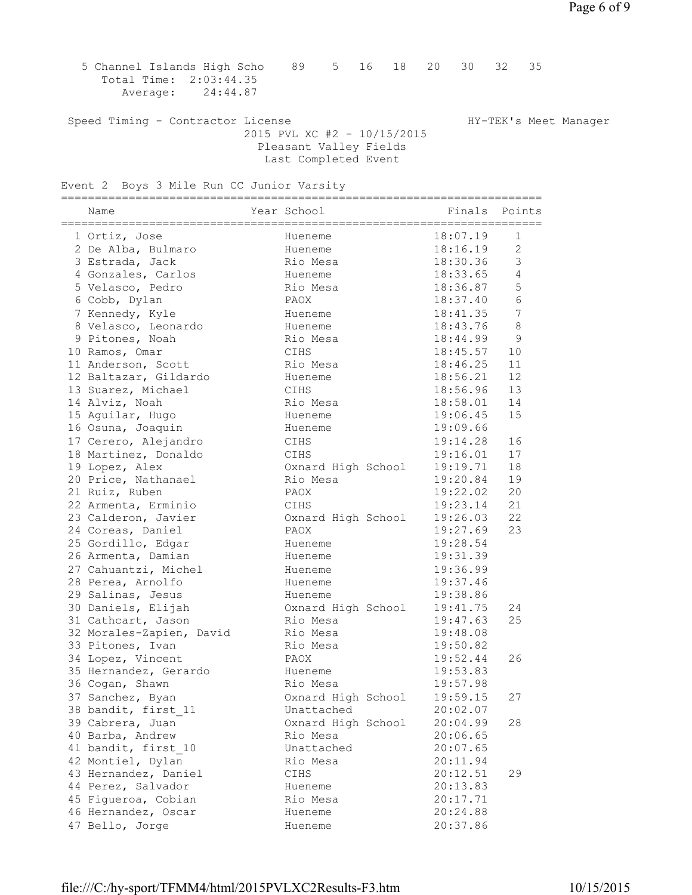5 Channel Islands High Scho 89 5 16 18 20 30 32 35 Total Time: 2:03:44.35 Average: 24:44.87 Speed Timing - Contractor License Manager Manager HY-TEK's Meet Manager 2015 PVL XC #2 - 10/15/2015 Pleasant Valley Fields Last Completed Event Event 2 Boys 3 Mile Run CC Junior Varsity ======================================================================= Name The Year School The Points Points Points ======================================================================= 1 Ortiz, Jose Hueneme 18:07.19 1 2 De Alba, Bulmaro Hueneme 18:16.19 2 3 Estrada, Jack Rio Mesa 18:30.36 3 4 Gonzales, Carlos Hueneme 18:33.65 4 5 Velasco, Pedro Rio Mesa 18:36.87 5 6 Cobb, Dylan PAOX 18:37.40 6 7 Kennedy, Kyle Hueneme 18:41.35 7 8 Velasco, Leonardo Hueneme 18:43.76 8 9 Pitones, Noah Rio Mesa 18:44.99 9 10 Ramos, Omar CIHS 18:45.57 10 11 Anderson, Scott Rio Mesa 18:46.25 11 12 Baltazar, Gildardo Hueneme 18:56.21 12 13 Suarez, Michael CIHS 18:56.96 13 14 Alviz, Noah Rio Mesa 18:58.01 14 15 Aguilar, Hugo Hueneme 19:06.45 15 16 Osuna, Joaquin Hueneme 19:09.66 17 Cerero, Alejandro CIHS 19:14.28 16 18 Martinez, Donaldo CIHS 19:16.01 17 19 Lopez, Alex Oxnard High School 19:19.71 18 20 Price, Nathanael Rio Mesa 19:20.84 19 21 Ruiz, Ruben PAOX 19:22.02 20 22 Armenta, Erminio CIHS 19:23.14 21 23 Calderon, Javier Oxnard High School 19:26.03 22 24 Coreas, Daniel PAOX 19:27.69 23 25 Gordillo, Edgar Hueneme 19:28.54 26 Armenta, Damian Hueneme 19:31.39 27 Cahuantzi, Michel Hueneme 19:36.99 28 Perea, Arnolfo Hueneme 19:37.46 29 Salinas, Jesus Hueneme 19:38.86 30 Daniels, Elijah Oxnard High School 19:41.75 24 31 Cathcart, Jason Rio Mesa 19:47.63 25 32 Morales-Zapien, David Rio Mesa 19:48.08 33 Pitones, Ivan Rio Mesa 19:50.82 34 Lopez, Vincent PAOX 19:52.44 26 35 Hernandez, Gerardo Hueneme 19:53.83 36 Cogan, Shawn Rio Mesa 19:57.98 37 Sanchez, Byan Oxnard High School 19:59.15 27 38 bandit, first\_11 Unattached 20:02.07 39 Cabrera, Juan Oxnard High School 20:04.99 28 40 Barba, Andrew Rio Mesa 20:06.65 41 bandit, first\_10 Unattached 20:07.65 42 Montiel, Dylan Rio Mesa 20:11.94 43 Hernandez, Daniel CIHS 20:12.51 29 44 Perez, Salvador Hueneme 20:13.83 45 Figueroa, Cobian Rio Mesa 20:17.71 46 Hernandez, Oscar Hueneme 20:24.88 47 Bello, Jorge Hueneme 20:37.86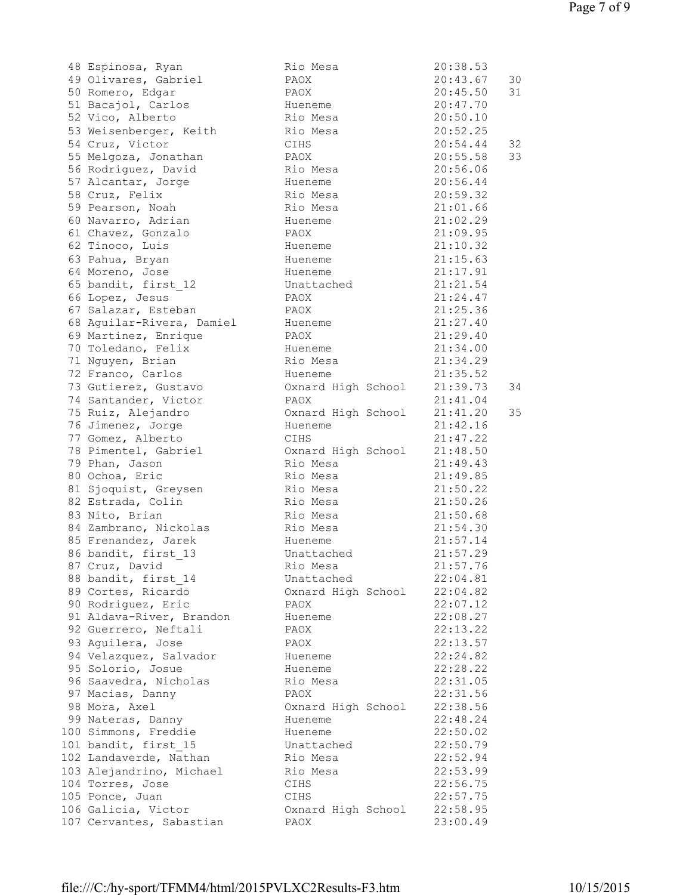48 Espinosa, Ryan Rio Mesa 20:38.53 49 Olivares, Gabriel 50 Romero, Edgar 51 Bacajol, Carlos 52 Vico, Alberto 53 Weisenberger, Keith 54 Cruz, Victor 55 Melgoza, Jonathan 56 Rodriquez, David 57 Alcantar, Jorge 58 Cruz, Felix 59 Pearson, Noah 60 Navarro, Adrian 61 Chavez, Gonzalo 62 Tinoco, Luis 63 Pahua, Bryan 64 Moreno, Jose 65 bandit, first 12 66 Lopez, Jesus 67 Salazar, Esteban 68 Aguilar-Rivera, Damiel 69 Martinez, Enrique 70 Toledano, Felix 71 Nguyen, Brian 72 Franco, Carlos 73 Gutierez, Gustavo 74 Santander, Victor 75 Ruiz, Alejandro 76 Jimenez, Jorge 77 Gomez, Alberto 78 Pimentel, Gabriel 79 Phan, Jason 80 Ochoa, Eric 81 Sjoquist, Greysen 82 Estrada, Colin 83 Nito, Brian 84 Zambrano, Nickolas 85 Frenandez, Jarek 86 bandit, first 13 87 Cruz, David 88 bandit, first 14 89 Cortes, Ricardo 90 Rodriguez, Eric 91 Aldava-River, Brandon 92 Guerrero, Neftali 93 Aguilera, Jose 94 Velazquez, Salvador 95 Solorio, Josue 96 Saavedra, Nicholas 97 Macias, Danny 98 Mora, Axel 99 Nateras, Danny 100 Simmons, Freddie 101 bandit, first 15 102 Landaverde, Nathan 103 Alejandrino, Michael 104 Torres, Jose 105 Ponce, Juan 106 Galicia, Victor 107 Cervantes, Sabastian

| Rıo Mesa           | 20:38.53 |      |
|--------------------|----------|------|
| PAOX               | 20:43.67 | $30$ |
| PAOX               | 20:45.50 | 31   |
| Hueneme            | 20:47.70 |      |
| Rio Mesa           | 20:50.10 |      |
|                    | 20:52.25 |      |
| Rio Mesa           |          |      |
| CIHS               | 20:54.44 | 32   |
| PAOX               | 20:55.58 | 33   |
| Rio Mesa           | 20:56.06 |      |
| Hueneme            | 20:56.44 |      |
| Rio Mesa           | 20:59.32 |      |
| Rio Mesa           | 21:01.66 |      |
|                    | 21:02.29 |      |
| Hueneme            |          |      |
| PAOX               | 21:09.95 |      |
| Hueneme            | 21:10.32 |      |
| Hueneme            | 21:15.63 |      |
| Hueneme            | 21:17.91 |      |
| Unattached         | 21:21.54 |      |
| PAOX               | 21:24.47 |      |
| PAOX               | 21:25.36 |      |
|                    |          |      |
| Hueneme            | 21:27.40 |      |
| PAOX               | 21:29.40 |      |
| Hueneme            | 21:34.00 |      |
| Rio Mesa           | 21:34.29 |      |
| Hueneme            | 21:35.52 |      |
| Oxnard High School | 21:39.73 | 34   |
| PAOX               | 21:41.04 |      |
| Oxnard High School | 21:41.20 | 35   |
|                    |          |      |
| Hueneme            | 21:42.16 |      |
| CIHS               | 21:47.22 |      |
| Oxnard High School | 21:48.50 |      |
| Rio Mesa           | 21:49.43 |      |
| Rio Mesa           | 21:49.85 |      |
| Rio Mesa           | 21:50.22 |      |
| Rio Mesa           | 21:50.26 |      |
| Rio Mesa           | 21:50.68 |      |
|                    |          |      |
| Rio Mesa           | 21:54.30 |      |
| Hueneme            | 21:57.14 |      |
| Unattached         | 21:57.29 |      |
| Rio Mesa           | 21:57.76 |      |
| Unattached         | 22:04.81 |      |
| Oxnard High School | 22:04.82 |      |
| PAOX               | 22:07.12 |      |
| Hueneme            | 22:08.27 |      |
|                    |          |      |
| PAOX               | 22:13.22 |      |
| PAOX               | 22:13.57 |      |
| Hueneme            | 22:24.82 |      |
| Hueneme            | 22:28.22 |      |
| Rio Mesa           | 22:31.05 |      |
| PAOX               | 22:31.56 |      |
| Oxnard High School | 22:38.56 |      |
| Hueneme            | 22:48.24 |      |
|                    | 22:50.02 |      |
| Hueneme            |          |      |
| Unattached         | 22:50.79 |      |
| Rio Mesa           | 22:52.94 |      |
| Rio Mesa           | 22:53.99 |      |
| CIHS               | 22:56.75 |      |
| CIHS               | 22:57.75 |      |
| Oxnard High School | 22:58.95 |      |
| PAOX               | 23:00.49 |      |
|                    |          |      |
|                    |          |      |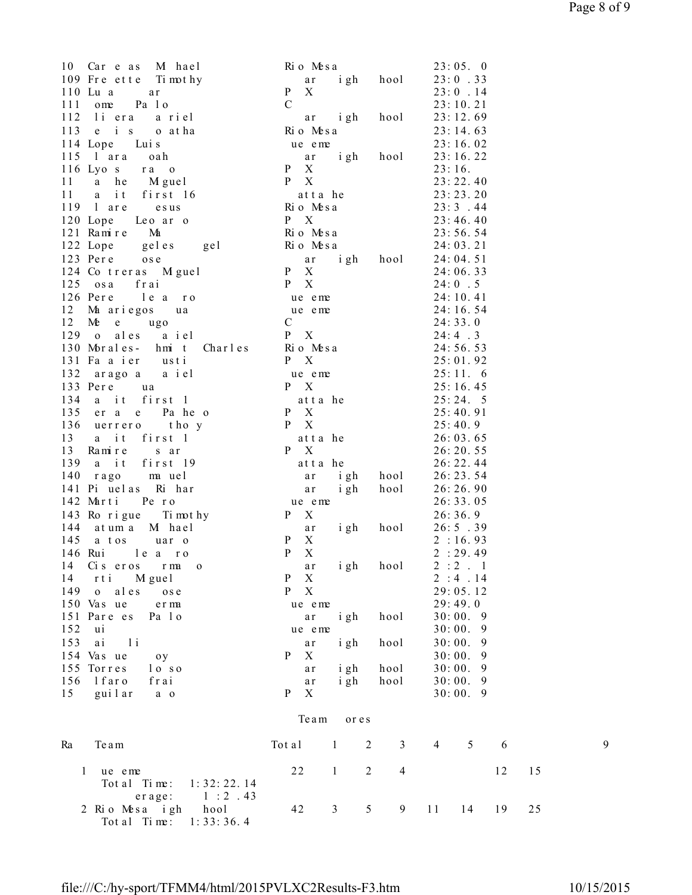$10$  Car e as M hae l  $\overline{R}$  Rio Me s a  $23:05.$  0 109 Freette Timothy  $ar$  igh hool  $23:0.33$ 110 Lu( a ) or ar  $P X$  23: 0 . 14 111 ome Pa 1 o C6 - 23: 10. 21 112 liera ariel 12 ar igh hool 23:12.69 113 e i s o at ha ( Ri o Me s a 23: 14. 63)  $114 \text{ Lope}$  Luis  $114 \text{ Lope}$  23: 16. 02 115 1 ar a oah **a** righ hool 23:16.22 116 Lyos ra o  $P X$  23:16. 11 a he M gue l P X 23: 22. 40 11 a it first 16 atta he 23:23.20  $119$  are esus Rio Mesa  $23:3.44$ 120 Lope Leo ar o P X 23: 46. 40  $121$  Ramire Ma  $\overline{R}$  Rio Mesa  $23:56.54$  $122$  Lope geles gel Rio Mesa  $24:03.21$ 123 Pere ose  $\qquad \qquad$  ar igh hool 24:04.51  $124 \text{ Co treras }$  M gue l P X  $24:06.33$  $125$  osa frai  $P X$  24:0.5  $126$  Pere learo ue eme  $24:10.41$  $12$  Ma ariegos ua  $\qquad \qquad$  ue eme  $24:16.54$ 12 Me e ugo C6 - 24: 33. 0  $129$  o ales a iel  $P X$  24:4.3 130 Morales- hmit Charles Rio Mesa 24:56.53 131 Fa a ier usti P X 25:01.92 132 aragoa a iel eme 25:11.6 133 Per e ua e R<sup>X</sup> 25: 16. 45 134 a it first 1 atta he  $25:24.5$ 135 er a e Paheo PX 25:40.91 136 uerrero thoy P X 25: 40. 9 13 a it first 1 atta he  $26:03.65$ 13 Ramire sar **PX** 26:20.55 139 a it first 19 atta he  $26:22.44$ 140 rago mauel ar igh hool 26:23.54 141 Pi ( ue l a s ) Ri \* ha r ' + , ( a r ' - i gh . \* hool 26: 26. 90 142 Marti Pero ue eme 26:33.05 143 Ro rigue Timothy  $P \times 26: 36.9$ 144 . a t um5 a ) Mi \* ha e l + , ( a r ' - i gh . \* hool 26: 57 . 39 145 a tos uar o PX 2:16.93 146 Rui 1e a ro PX 2:29.49  $14$  Ciseros rma o  $\begin{array}{ccc} \text{ar} & \text{igh} & \text{hool} & 2:2.1 \end{array}$ 14 rti Miguel PX 2:4.14 149 o ales ose P X 29: 05. 12  $150 \text{ Vas}$  ue e r ma (  $29:49.0$ 151 Pare es Pa 10 **ar** igh hool 30:00. 9 152 ui 162 ue eme 30:00. 9 153 ai li hool 30:00.9  $154 \text{ Vas ue}$  oy P X  $30:00.9$ 155 Torres loso ar igh hool 30:00. 9 156 1 faro frai 1988 ar igh hool 30:00. 9 15 guilar a o bttp://www.php?induction.com/space.org/ and particles. The set of  $P$  X 30:00. 9 Team or es Ra Team 1 2 3 4 5 6 9 1 ue eme 22 1 2 4 12 15 Tot a l Ti me:  $1: 32: 22. 14$ e rage: 1:2.43<br>2 Rio Mesa igh hool 42 3 5 9 11 14 19 25 Tot a l Ti me:  $1: 33: 36. 4$